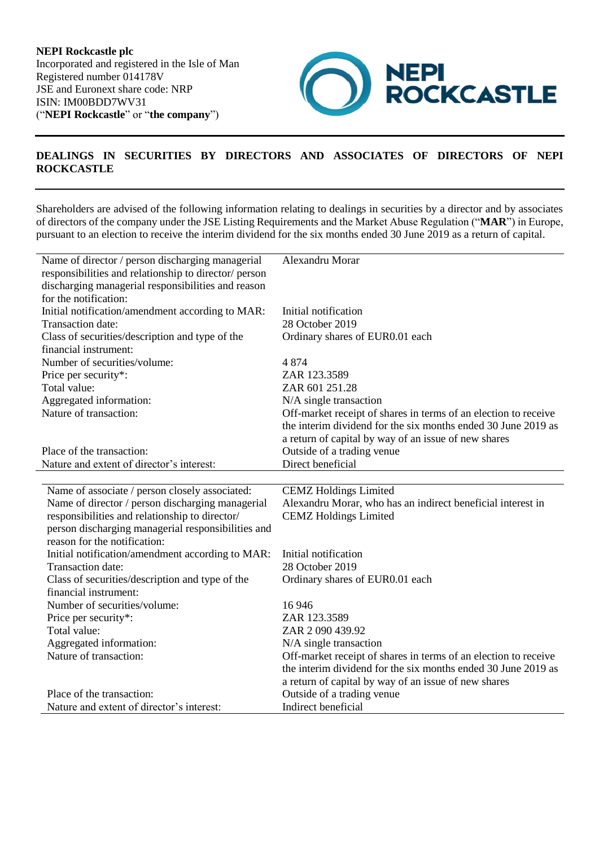

## **DEALINGS IN SECURITIES BY DIRECTORS AND ASSOCIATES OF DIRECTORS OF NEPI ROCKCASTLE**

Shareholders are advised of the following information relating to dealings in securities by a director and by associates of directors of the company under the JSE Listing Requirements and the Market Abuse Regulation ("**MAR**") in Europe, pursuant to an election to receive the interim dividend for the six months ended 30 June 2019 as a return of capital.

| Name of director / person discharging managerial                       | Alexandru Morar                                                 |
|------------------------------------------------------------------------|-----------------------------------------------------------------|
| responsibilities and relationship to director/ person                  |                                                                 |
| discharging managerial responsibilities and reason                     |                                                                 |
| for the notification:                                                  |                                                                 |
| Initial notification/amendment according to MAR:                       | Initial notification                                            |
| Transaction date:                                                      | 28 October 2019                                                 |
| Class of securities/description and type of the                        | Ordinary shares of EUR0.01 each                                 |
| financial instrument:                                                  |                                                                 |
| Number of securities/volume:                                           | 4874                                                            |
| Price per security*:                                                   | ZAR 123.3589                                                    |
| Total value:                                                           | ZAR 601 251.28                                                  |
| Aggregated information:                                                | N/A single transaction                                          |
| Nature of transaction:                                                 | Off-market receipt of shares in terms of an election to receive |
|                                                                        | the interim dividend for the six months ended 30 June 2019 as   |
|                                                                        | a return of capital by way of an issue of new shares            |
| Place of the transaction:                                              | Outside of a trading venue                                      |
| Nature and extent of director's interest:                              | Direct beneficial                                               |
|                                                                        |                                                                 |
| Name of associate / person closely associated:                         | <b>CEMZ</b> Holdings Limited                                    |
| Name of director / person discharging managerial                       | Alexandru Morar, who has an indirect beneficial interest in     |
| responsibilities and relationship to director/                         |                                                                 |
|                                                                        | <b>CEMZ</b> Holdings Limited                                    |
| person discharging managerial responsibilities and                     |                                                                 |
| reason for the notification:                                           |                                                                 |
| Initial notification/amendment according to MAR:                       | Initial notification                                            |
| Transaction date:                                                      | 28 October 2019                                                 |
| Class of securities/description and type of the                        | Ordinary shares of EUR0.01 each                                 |
| financial instrument:                                                  |                                                                 |
| Number of securities/volume:                                           | 16946                                                           |
| Price per security*:                                                   | ZAR 123.3589                                                    |
| Total value:                                                           | ZAR 2090 439.92                                                 |
| Aggregated information:                                                | N/A single transaction                                          |
| Nature of transaction:                                                 | Off-market receipt of shares in terms of an election to receive |
|                                                                        | the interim dividend for the six months ended 30 June 2019 as   |
|                                                                        | a return of capital by way of an issue of new shares            |
| Place of the transaction:<br>Nature and extent of director's interest: | Outside of a trading venue<br>Indirect beneficial               |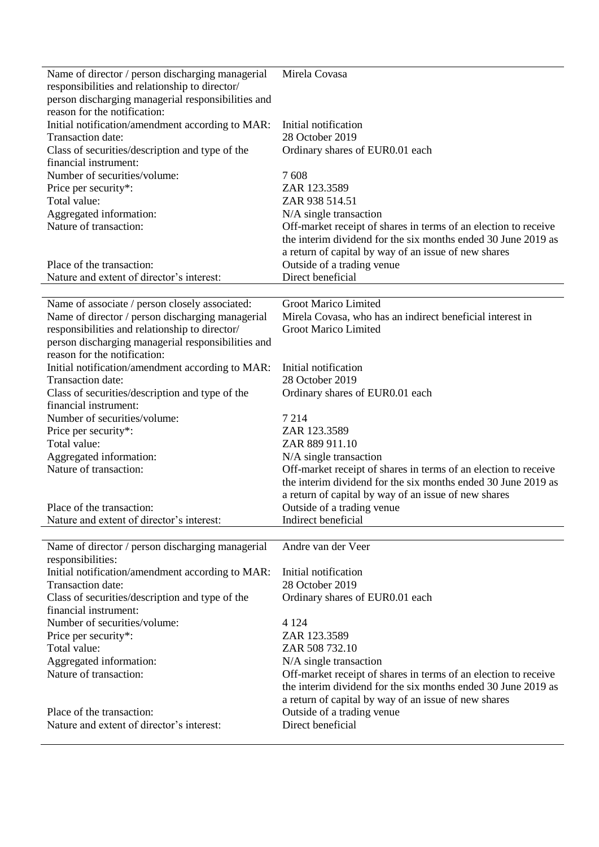| Name of director / person discharging managerial<br>responsibilities and relationship to director/<br>person discharging managerial responsibilities and | Mirela Covasa                                                                      |
|----------------------------------------------------------------------------------------------------------------------------------------------------------|------------------------------------------------------------------------------------|
| reason for the notification:<br>Initial notification/amendment according to MAR:                                                                         | Initial notification                                                               |
| Transaction date:                                                                                                                                        | 28 October 2019                                                                    |
| Class of securities/description and type of the                                                                                                          | Ordinary shares of EUR0.01 each                                                    |
| financial instrument:                                                                                                                                    |                                                                                    |
| Number of securities/volume:                                                                                                                             | 7608                                                                               |
| Price per security*:                                                                                                                                     | ZAR 123.3589                                                                       |
| Total value:                                                                                                                                             | ZAR 938 514.51                                                                     |
| Aggregated information:                                                                                                                                  | N/A single transaction                                                             |
| Nature of transaction:                                                                                                                                   | Off-market receipt of shares in terms of an election to receive                    |
|                                                                                                                                                          | the interim dividend for the six months ended 30 June 2019 as                      |
|                                                                                                                                                          | a return of capital by way of an issue of new shares                               |
| Place of the transaction:                                                                                                                                | Outside of a trading venue                                                         |
| Nature and extent of director's interest:                                                                                                                | Direct beneficial                                                                  |
| Name of associate / person closely associated:                                                                                                           | Groot Marico Limited                                                               |
| Name of director / person discharging managerial                                                                                                         | Mirela Covasa, who has an indirect beneficial interest in                          |
| responsibilities and relationship to director/                                                                                                           | Groot Marico Limited                                                               |
| person discharging managerial responsibilities and                                                                                                       |                                                                                    |
| reason for the notification:                                                                                                                             |                                                                                    |
| Initial notification/amendment according to MAR:                                                                                                         | Initial notification                                                               |
| Transaction date:                                                                                                                                        | 28 October 2019                                                                    |
| Class of securities/description and type of the                                                                                                          | Ordinary shares of EUR0.01 each                                                    |
| financial instrument:<br>Number of securities/volume:                                                                                                    | 7 2 1 4                                                                            |
| Price per security*:                                                                                                                                     | ZAR 123.3589                                                                       |
| Total value:                                                                                                                                             | ZAR 889 911.10                                                                     |
| Aggregated information:                                                                                                                                  | N/A single transaction                                                             |
| Nature of transaction:                                                                                                                                   | Off-market receipt of shares in terms of an election to receive                    |
|                                                                                                                                                          | the interim dividend for the six months ended 30 June 2019 as                      |
|                                                                                                                                                          | a return of capital by way of an issue of new shares                               |
| Place of the transaction:                                                                                                                                | Outside of a trading venue                                                         |
| Nature and extent of director's interest:                                                                                                                | Indirect beneficial                                                                |
| Name of director / person discharging managerial                                                                                                         | Andre van der Veer                                                                 |
| responsibilities:                                                                                                                                        |                                                                                    |
| Initial notification/amendment according to MAR:                                                                                                         | Initial notification                                                               |
| Transaction date:                                                                                                                                        | 28 October 2019                                                                    |
| Class of securities/description and type of the                                                                                                          | Ordinary shares of EUR0.01 each                                                    |
| financial instrument:                                                                                                                                    |                                                                                    |
| Number of securities/volume:                                                                                                                             | 4 1 2 4                                                                            |
| Price per security*:                                                                                                                                     | ZAR 123.3589                                                                       |
| Total value:                                                                                                                                             | ZAR 508 732.10                                                                     |
| Aggregated information:                                                                                                                                  | N/A single transaction                                                             |
| Nature of transaction:                                                                                                                                   | Off-market receipt of shares in terms of an election to receive                    |
|                                                                                                                                                          | the interim dividend for the six months ended 30 June 2019 as                      |
| Place of the transaction:                                                                                                                                | a return of capital by way of an issue of new shares<br>Outside of a trading venue |
| Nature and extent of director's interest:                                                                                                                | Direct beneficial                                                                  |
|                                                                                                                                                          |                                                                                    |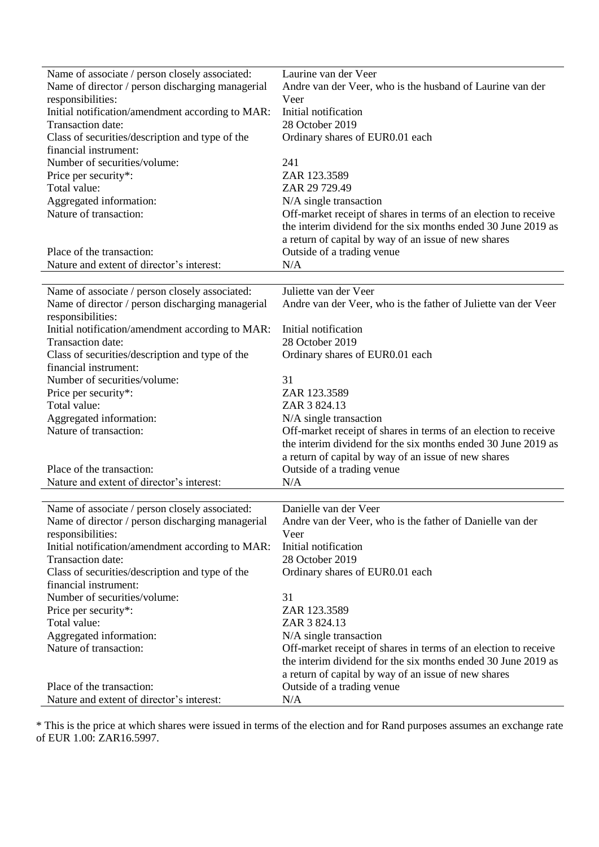| Name of associate / person closely associated:   | Laurine van der Veer                                            |
|--------------------------------------------------|-----------------------------------------------------------------|
| Name of director / person discharging managerial | Andre van der Veer, who is the husband of Laurine van der       |
| responsibilities:                                | Veer                                                            |
| Initial notification/amendment according to MAR: | Initial notification                                            |
| Transaction date:                                | 28 October 2019                                                 |
| Class of securities/description and type of the  | Ordinary shares of EUR0.01 each                                 |
| financial instrument:                            |                                                                 |
| Number of securities/volume:                     | 241                                                             |
| Price per security*:                             | ZAR 123.3589                                                    |
| Total value:                                     | ZAR 29 729.49                                                   |
| Aggregated information:                          | N/A single transaction                                          |
| Nature of transaction:                           | Off-market receipt of shares in terms of an election to receive |
|                                                  | the interim dividend for the six months ended 30 June 2019 as   |
|                                                  | a return of capital by way of an issue of new shares            |
| Place of the transaction:                        | Outside of a trading venue                                      |
| Nature and extent of director's interest:        | N/A                                                             |
|                                                  |                                                                 |
| Name of associate / person closely associated:   | Juliette van der Veer                                           |
| Name of director / person discharging managerial | Andre van der Veer, who is the father of Juliette van der Veer  |
| responsibilities:                                |                                                                 |
| Initial notification/amendment according to MAR: | Initial notification                                            |
| Transaction date:                                | 28 October 2019                                                 |
| Class of securities/description and type of the  | Ordinary shares of EUR0.01 each                                 |
| financial instrument:                            |                                                                 |
| Number of securities/volume:                     | 31                                                              |
| Price per security*:<br>Total value:             | ZAR 123.3589<br>ZAR 3 824.13                                    |
| Aggregated information:                          | N/A single transaction                                          |
| Nature of transaction:                           | Off-market receipt of shares in terms of an election to receive |
|                                                  | the interim dividend for the six months ended 30 June 2019 as   |
|                                                  | a return of capital by way of an issue of new shares            |
| Place of the transaction:                        | Outside of a trading venue                                      |
| Nature and extent of director's interest:        | N/A                                                             |
|                                                  |                                                                 |
| Name of associate / person closely associated:   | Danielle van der Veer                                           |
| Name of director / person discharging managerial | Andre van der Veer, who is the father of Danielle van der       |
| responsibilities:                                | Veer                                                            |
| Initial notification/amendment according to MAR: | Initial notification                                            |
| Transaction date:                                | 28 October 2019                                                 |
| Class of securities/description and type of the  | Ordinary shares of EUR0.01 each                                 |
| financial instrument:                            |                                                                 |
| Number of securities/volume:                     | 31                                                              |
| Price per security*:                             | ZAR 123.3589                                                    |
| Total value:                                     | ZAR 3 824.13                                                    |
| Aggregated information:                          | N/A single transaction                                          |
| Nature of transaction:                           | Off-market receipt of shares in terms of an election to receive |
|                                                  | the interim dividend for the six months ended 30 June 2019 as   |
|                                                  | a return of capital by way of an issue of new shares            |
| Place of the transaction:                        | Outside of a trading venue                                      |
| Nature and extent of director's interest:        | N/A                                                             |

\* This is the price at which shares were issued in terms of the election and for Rand purposes assumes an exchange rate of EUR 1.00: ZAR16.5997.